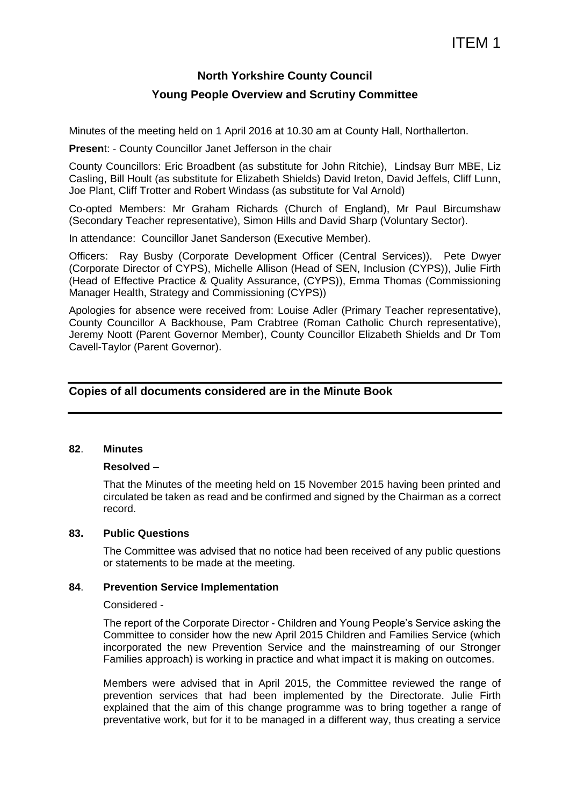# **North Yorkshire County Council**

# **Young People Overview and Scrutiny Committee**

Minutes of the meeting held on 1 April 2016 at 10.30 am at County Hall, Northallerton.

**Presen**t: - County Councillor Janet Jefferson in the chair

County Councillors: Eric Broadbent (as substitute for John Ritchie), Lindsay Burr MBE, Liz Casling, Bill Hoult (as substitute for Elizabeth Shields) David Ireton, David Jeffels, Cliff Lunn, Joe Plant, Cliff Trotter and Robert Windass (as substitute for Val Arnold)

Co-opted Members: Mr Graham Richards (Church of England), Mr Paul Bircumshaw (Secondary Teacher representative), Simon Hills and David Sharp (Voluntary Sector).

In attendance: Councillor Janet Sanderson (Executive Member).

Officers: Ray Busby (Corporate Development Officer (Central Services)). Pete Dwyer (Corporate Director of CYPS), Michelle Allison (Head of SEN, Inclusion (CYPS)), Julie Firth (Head of Effective Practice & Quality Assurance, (CYPS)), Emma Thomas (Commissioning Manager Health, Strategy and Commissioning (CYPS))

Apologies for absence were received from: Louise Adler (Primary Teacher representative), County Councillor A Backhouse, Pam Crabtree (Roman Catholic Church representative), Jeremy Noott (Parent Governor Member), County Councillor Elizabeth Shields and Dr Tom Cavell-Taylor (Parent Governor).

# **Copies of all documents considered are in the Minute Book**

# **82**. **Minutes**

# **Resolved –**

That the Minutes of the meeting held on 15 November 2015 having been printed and circulated be taken as read and be confirmed and signed by the Chairman as a correct record.

#### **83. Public Questions**

The Committee was advised that no notice had been received of any public questions or statements to be made at the meeting.

# **84**. **Prevention Service Implementation**

#### Considered -

The report of the Corporate Director - Children and Young People's Service asking the Committee to consider how the new April 2015 Children and Families Service (which incorporated the new Prevention Service and the mainstreaming of our Stronger Families approach) is working in practice and what impact it is making on outcomes.

Members were advised that in April 2015, the Committee reviewed the range of prevention services that had been implemented by the Directorate. Julie Firth explained that the aim of this change programme was to bring together a range of preventative work, but for it to be managed in a different way, thus creating a service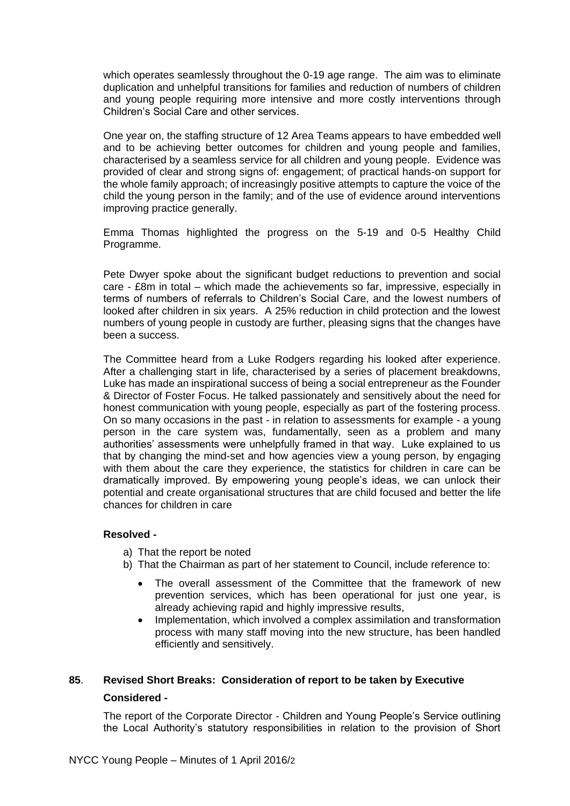which operates seamlessly throughout the 0-19 age range. The aim was to eliminate duplication and unhelpful transitions for families and reduction of numbers of children and young people requiring more intensive and more costly interventions through Children's Social Care and other services.

One year on, the staffing structure of 12 Area Teams appears to have embedded well and to be achieving better outcomes for children and young people and families, characterised by a seamless service for all children and young people. Evidence was provided of clear and strong signs of: engagement; of practical hands-on support for the whole family approach; of increasingly positive attempts to capture the voice of the child the young person in the family; and of the use of evidence around interventions improving practice generally.

Emma Thomas highlighted the progress on the 5-19 and 0-5 Healthy Child Programme.

Pete Dwyer spoke about the significant budget reductions to prevention and social care - £8m in total – which made the achievements so far, impressive, especially in terms of numbers of referrals to Children's Social Care, and the lowest numbers of looked after children in six years. A 25% reduction in child protection and the lowest numbers of young people in custody are further, pleasing signs that the changes have been a success.

The Committee heard from a Luke Rodgers regarding his looked after experience. After a challenging start in life, characterised by a series of placement breakdowns, Luke has made an inspirational success of being a social entrepreneur as the Founder & Director of Foster Focus. He talked passionately and sensitively about the need for honest communication with young people, especially as part of the fostering process. On so many occasions in the past - in relation to assessments for example - a young person in the care system was, fundamentally, seen as a problem and many authorities' assessments were unhelpfully framed in that way. Luke explained to us that by changing the mind-set and how agencies view a young person, by engaging with them about the care they experience, the statistics for children in care can be dramatically improved. By empowering young people's ideas, we can unlock their potential and create organisational structures that are child focused and better the life chances for children in care

# **Resolved -**

- a) That the report be noted
- b) That the Chairman as part of her statement to Council, include reference to:
	- The overall assessment of the Committee that the framework of new prevention services, which has been operational for just one year, is already achieving rapid and highly impressive results,
	- Implementation, which involved a complex assimilation and transformation process with many staff moving into the new structure, has been handled efficiently and sensitively.

# **85**. **Revised Short Breaks: Consideration of report to be taken by Executive**

# **Considered -**

The report of the Corporate Director - Children and Young People's Service outlining the Local Authority's statutory responsibilities in relation to the provision of Short